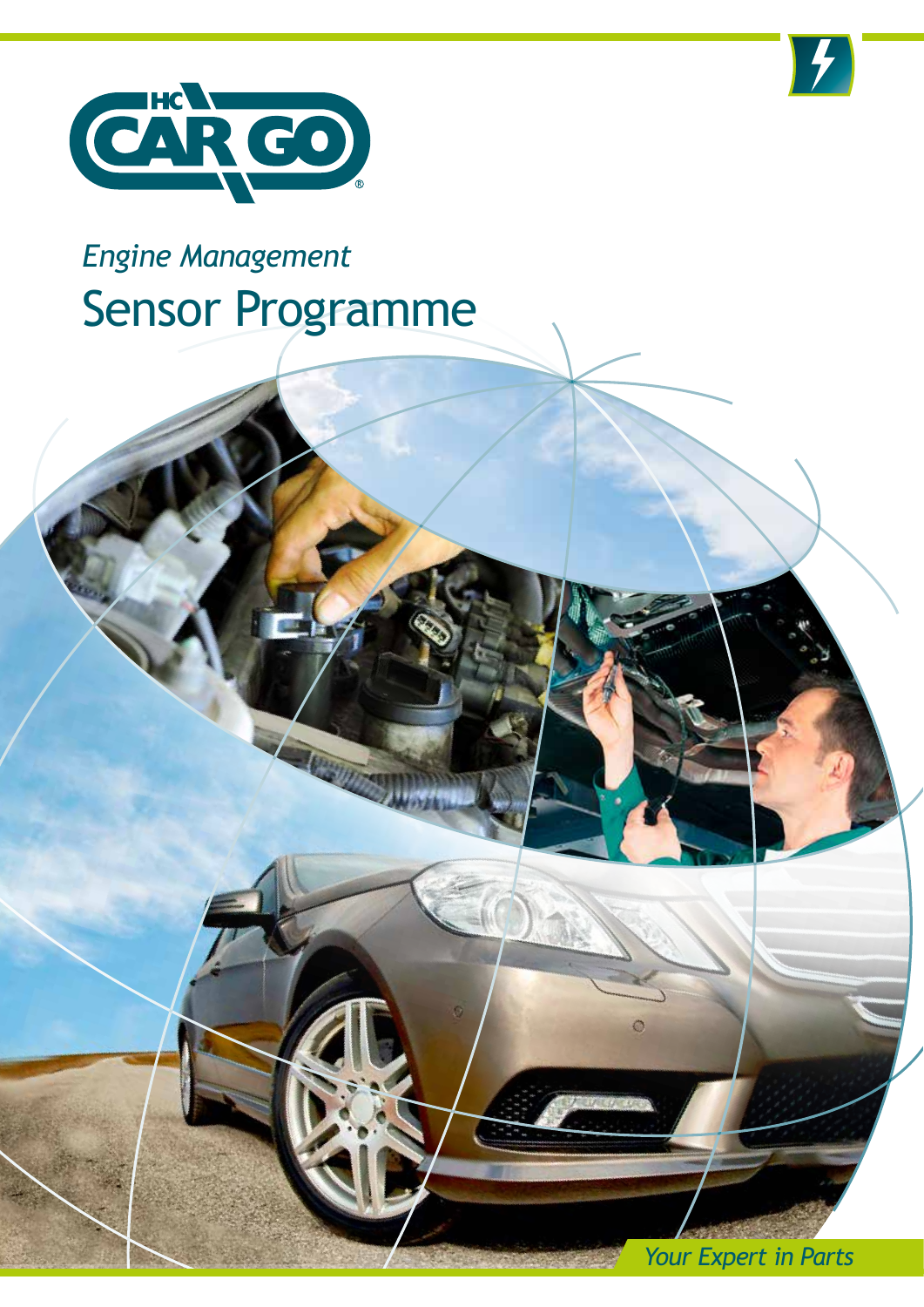



## *Engine Management* Sensor Programme

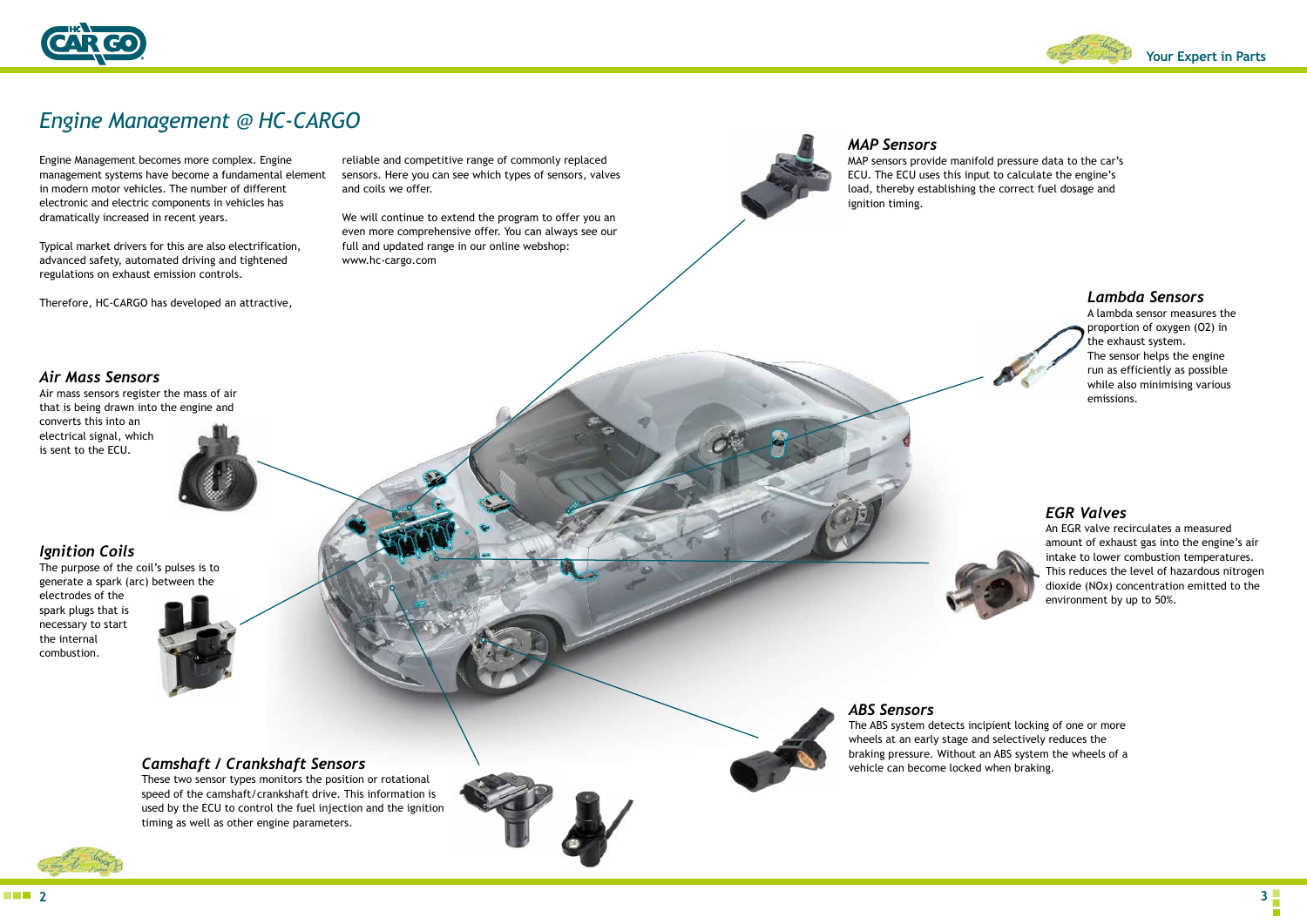**Your Expert in Parts**

**2 3**

Engine Management becomes more complex. Engine management systems have become a fundamental element in modern motor vehicles. The number of different electronic and electric components in vehicles has dramatically increased in recent years.

Typical market drivers for this are also electrification, advanced safety, automated driving and tightened regulations on exhaust emission controls.

Therefore, HC-CARGO has developed an attractive,

reliable and competitive range of commonly replaced sensors. Here you can see which types of sensors, valves and coils we offer.

We will continue to extend the program to offer you an even more comprehensive offer. You can always see our full and updated range in our online webshop: www.hc-cargo.com

### *Ignition Coils*

The purpose of the coil's pulses is to generate a spark (arc) between the

electrodes of the spark plugs that is necessary to start the internal combustion.



#### *Camshaft / Crankshaft Sensors*

These two sensor types monitors the position or rotational speed of the camshaft/crankshaft drive. This information is used by the ECU to control the fuel injection and the ignition timing as well as other engine parameters.



#### *MAP Sensors*

MAP sensors provide manifold pressure data to the car's ECU. The ECU uses this input to calculate the engine's load, thereby establishing the correct fuel dosage and



ignition timing.

#### *Lambda Sensors*

A lambda sensor measures the proportion of oxygen (O2) in the exhaust system. The sensor helps the engine run as efficiently as possible while also minimising various emissions.



#### *EGR Valves*

An EGR valve recirculates a measured amount of exhaust gas into the engine's air intake to lower combustion temperatures. This reduces the level of hazardous nitrogen dioxide (NOx) concentration emitted to the environment by up to 50%.

# *ABS Sensors*

The ABS system detects incipient locking of one or more wheels at an early stage and selectively reduces the braking pressure. Without an ABS system the wheels of a vehicle can become locked when braking.

#### *Air Mass Sensors*

Air mass sensors register the mass of air that is being drawn into the engine and converts this into an electrical signal, which is sent to the ECU.





## *Engine Management @ HC-CARGO*